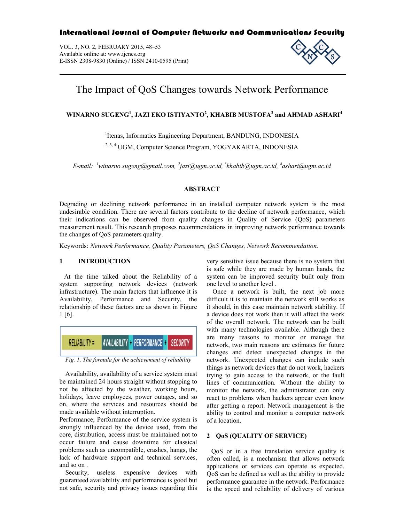# International Journal of Computer Networks and Communications Security

VOL. 3, NO. 2, FEBRUARY 2015, 48–53 Available online at: www.ijcncs.org E-ISSN 2308-9830 (Online) / ISSN 2410-0595 (Print)



# The Impact of QoS Changes towards Network Performance

# **WINARNO SUGENG<sup>1</sup> , JAZI EKO ISTIYANTO2 , KHABIB MUSTOFA3 and AHMAD ASHARI<sup>4</sup>**

<sup>1</sup>Itenas, Informatics Engineering Department, BANDUNG, INDONESIA 2, 3, 4 UGM, Computer Science Program, YOGYAKARTA, INDONESIA

*E-mail: <sup>1</sup> winarno.sugeng@gmail.com, <sup>2</sup> jazi@ugm.ac.id, <sup>3</sup> khabib@ugm.ac.id, <sup>4</sup> ashari@ugm.ac.id* 

## **ABSTRACT**

Degrading or declining network performance in an installed computer network system is the most undesirable condition. There are several factors contribute to the decline of network performance, which their indications can be observed from quality changes in Quality of Service (QoS) parameters measurement result. This research proposes recommendations in improving network performance towards the changes of QoS parameters quality.

Keywords: *Network Performance, Quality Parameters, QoS Changes, Network Recommendation.*

## **1 INTRODUCTION**

At the time talked about the Reliability of a system supporting network devices (network infrastructure). The main factors that influence it is Availability, Performance and Security, the relationship of these factors are as shown in Figure 1 [6].



*Fig. 1, The formula for the achievement of reliability*

Availability, availability of a service system must be maintained 24 hours straight without stopping to not be affected by the weather, working hours, holidays, leave employees, power outages, and so on, where the services and resources should be made available without interruption.

Performance, Performance of the service system is strongly influenced by the device used, from the core, distribution, access must be maintained not to occur failure and cause downtime for classical problems such as uncompatible, crashes, hangs, the lack of hardware support and technical services, and so on .

Security, useless expensive devices with guaranteed availability and performance is good but not safe, security and privacy issues regarding this very sensitive issue because there is no system that is safe while they are made by human hands, the system can be improved security built only from one level to another level .

Once a network is built, the next job more difficult it is to maintain the network still works as it should, in this case maintain network stability. If a device does not work then it will affect the work of the overall network. The network can be built with many technologies available. Although there are many reasons to monitor or manage the network, two main reasons are estimates for future changes and detect unexpected changes in the network. Unexpected changes can include such things as network devices that do not work, hackers trying to gain access to the network, or the fault lines of communication. Without the ability to monitor the network, the administrator can only react to problems when hackers appear even know after getting a report. Network management is the ability to control and monitor a computer network of a location.

# **2 QoS (QUALITY OF SERVICE)**

QoS or in a free translation service quality is often called, is a mechanism that allows network applications or services can operate as expected. QoS can be defined as well as the ability to provide performance guarantee in the network. Performance is the speed and reliability of delivery of various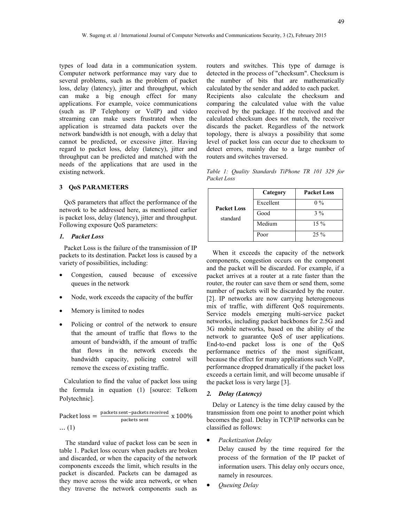types of load data in a communication system. Computer network performance may vary due to several problems, such as the problem of packet loss, delay (latency), jitter and throughput, which can make a big enough effect for many applications. For example, voice communications (such as IP Telephony or VoIP) and video streaming can make users frustrated when the application is streamed data packets over the network bandwidth is not enough, with a delay that cannot be predicted, or excessive jitter. Having regard to packet loss, delay (latency), jitter and throughput can be predicted and matched with the needs of the applications that are used in the existing network.

#### **3 QoS PARAMETERS**

QoS parameters that affect the performance of the network to be addressed here, as mentioned earlier is packet loss, delay (latency), jitter and throughput. Following exposure QoS parameters:

#### *1. Packet Loss*

Packet Loss is the failure of the transmission of IP packets to its destination. Packet loss is caused by a variety of possibilities, including:

- Congestion, caused because of excessive queues in the network
- Node, work exceeds the capacity of the buffer
- Memory is limited to nodes
- Policing or control of the network to ensure that the amount of traffic that flows to the amount of bandwidth, if the amount of traffic that flows in the network exceeds the bandwidth capacity, policing control will remove the excess of existing traffic.

Calculation to find the value of packet loss using the formula in equation (1) [source: Telkom Polytechnic].

Packet  $loss = \frac{packets \, sent-packets \, received}{packets \, sent} \, x \, 100\%$ ... (1)

The standard value of packet loss can be seen in table 1. Packet loss occurs when packets are broken and discarded, or when the capacity of the network components exceeds the limit, which results in the packet is discarded. Packets can be damaged as they move across the wide area network, or when they traverse the network components such as routers and switches. This type of damage is detected in the process of "checksum". Checksum is the number of bits that are mathematically calculated by the sender and added to each packet. Recipients also calculate the checksum and comparing the calculated value with the value received by the package. If the received and the calculated checksum does not match, the receiver discards the packet. Regardless of the network topology, there is always a possibility that some level of packet loss can occur due to checksum to detect errors, mainly due to a large number of routers and switches traversed.

*Table 1: Quality Standards TiPhone TR 101 329 for Packet Loss*

| <b>Packet Loss</b><br>standard | Category  | <b>Packet Loss</b> |
|--------------------------------|-----------|--------------------|
|                                | Excellent | $0\%$              |
|                                | Good      | $3\%$              |
|                                | Medium    | $15\%$             |
|                                | Poor      | $25\%$             |

When it exceeds the capacity of the network components, congestion occurs on the component and the packet will be discarded. For example, if a packet arrives at a router at a rate faster than the router, the router can save them or send them, some number of packets will be discarded by the router. [2]. IP networks are now carrying heterogeneous mix of traffic, with different QoS requirements. Service models emerging multi-service packet networks, including packet backbones for 2.5G and 3G mobile networks, based on the ability of the network to guarantee QoS of user applications. End-to-end packet loss is one of the QoS performance metrics of the most significant, because the effect for many applications such VoIP, performance dropped dramatically if the packet loss exceeds a certain limit, and will become unusable if the packet loss is very large [3].

#### *2. Delay (Latency)*

Delay or Latency is the time delay caused by the transmission from one point to another point which becomes the goal. Delay in TCP/IP networks can be classified as follows:

*Packetization Delay*

Delay caused by the time required for the process of the formation of the IP packet of information users. This delay only occurs once, namely in resources.

*Queuing Delay*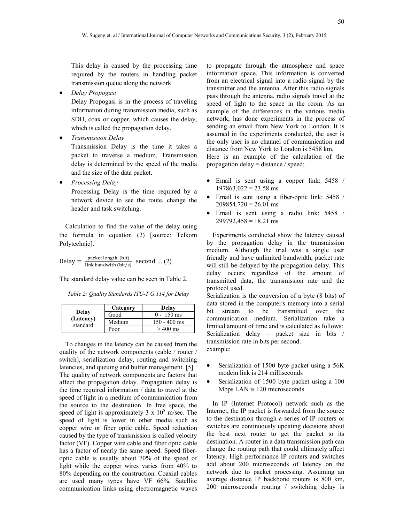This delay is caused by the processing time required by the routers in handling packet transmission queue along the network.

*Delay Propogasi*

Delay Propogasi is in the process of traveling information during transmission media, such as SDH, coax or copper, which causes the delay, which is called the propagation delay.

*Transmission Delay*

Transmission Delay is the time it takes a packet to traverse a medium. Transmission delay is determined by the speed of the media and the size of the data packet.

*Processing Delay*

Processing Delay is the time required by a network device to see the route, change the header and task switching.

Calculation to find the value of the delay using the formula in equation (2) [source: Telkom Polytechnic].

$$
Delay = \frac{packet \text{ length (bit)}}{\text{link bandwidth (bit/s) } second \dots (2)}
$$

The standard delay value can be seen in Table 2.

*Table 2: Quality Standards ITU-T G.114 for Delay*

| Delay<br>(Latency)<br>standard | Category | Delay          |
|--------------------------------|----------|----------------|
|                                | Good     | $0 - 150$ ms   |
|                                | Medium   | $150 - 400$ ms |
|                                | Poor     | $>400$ ms      |

To changes in the latency can be caused from the quality of the network components (cable / router / switch), serialization delay, routing and switching latencies, and queuing and buffer management. [5] The quality of network components are factors that affect the propagation delay. Propagation delay is the time required information / data to travel at the speed of light in a medium of communication from the source to the destination. In free space, the speed of light is approximately  $3 \times 10^8$  m/sec. The speed of light is lower in other media such as copper wire or fiber optic cable. Speed reduction caused by the type of transmission is called velocity factor (VF). Copper wire cable and fiber optic cable has a factor of nearly the same speed. Speed fiberoptic cable is usually about 70% of the speed of light while the copper wires varies from 40% to 80% depending on the construction. Coaxial cables are used many types have VF 66%. Satellite communication links using electromagnetic waves

to propagate through the atmosphere and space information space. This information is converted from an electrical signal into a radio signal by the transmitter and the antenna. After this radio signals pass through the antenna, radio signals travel at the speed of light to the space in the room. As an example of the differences in the various media network, has done experiments in the process of sending an email from New York to London. It is assumed in the experiments conducted, the user is the only user is no channel of communication and distance from New York to London is 5458 km.

Here is an example of the calculation of the propagation delay = distance / speed;

- Email is sent using a copper link: 5458 /  $197863,022 = 23.58$  ms
- Email is sent using a fiber-optic link: 5458 /  $209854.720 = 26.01$  ms
- Email is sent using a radio link: 5458 /  $299792,458 = 18.21$  ms

Experiments conducted show the latency caused by the propagation delay in the transmission medium. Although the trial was a single user friendly and have unlimited bandwidth, packet rate will still be delayed by the propagation delay. This delay occurs regardless of the amount of transmitted data, the transmission rate and the protocol used.

Serialization is the conversion of a byte (8 bits) of data stored in the computer's memory into a serial bit stream to be transmitted over the communication medium. Serialization take a limited amount of time and is calculated as follows: Serialization delay = packet size in bits / transmission rate in bits per second. example:

- Serialization of 1500 byte packet using a 56K modem link is 214 milliseconds
- Serialization of 1500 byte packet using a 100 Mbps LAN is 120 microseconds

In IP (Internet Protocol) network such as the Internet, the IP packet is forwarded from the source to the destination through a series of IP routers or switches are continuously updating decisions about the best next router to get the packet to its destination. A router in a data transmission path can change the routing path that could ultimately affect latency. High performance IP routers and switches add about 200 microseconds of latency on the network due to packet processing. Assuming an average distance IP backbone routers is 800 km, 200 microseconds routing / switching delay is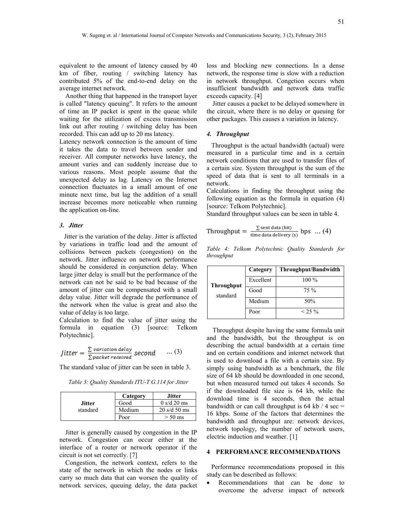equivalent to the amount of latency caused by 40 km of fiber, routing / switching latency has contributed 5% of the end-to-end delay on the average internet network.

Another thing that happened in the transport layer is called "latency queuing". It refers to the amount of time an IP packet is spent in the queue while waiting for the utilization of excess transmission link out after routing / switching delay has been recorded. This can add up to 20 ms latency.

Latency network connection is the amount of time it takes the data to travel between sender and receiver. All computer networks have latency, the amount varies and can suddenly increase due to various reasons. Most people assume that the unexpected delay as lag. Latency on the Internet connection fluctuates in a small amount of one minute next time, but lag the addition of a small increase becomes more noticeable when running the application on-line.

#### *3. Jitter*

Jitter is the variation of the delay. Jitter is affected by variations in traffic load and the amount of collisions between packets (congestion) on the network. Jitter influence on network performance should be considered in conjunction delay. When large jitter delay is small but the performance of the network can not be said to be bad because of the amount of jitter can be compensated with a small delay value. Jitter will degrade the performance of the network when the value is great and also the value of delay is too large.

Calculation to find the value of jitter using the formula in equation (3) [source: Telkom Polytechnic].

$$
Jitter = \frac{\sum variation\ delay}{\sum packet\ received} second \qquad ... (3)
$$

The standard value of jitter can be seen in table 3.

*Table 3: Quality Standards ITU-T G.114 for Jitter*

|               | Category | <b>Jitter</b>                  |
|---------------|----------|--------------------------------|
| <b>Jitter</b> | Good     | $0 \frac{\text{s}}{d}$ 20 ms   |
| standard      | Medium   | $20 \text{ s/d} 50 \text{ ms}$ |
|               | Poor     | $> 50$ ms                      |

Jitter is generally caused by congestion in the IP network. Congestion can occur either at the interface of a router or network operator if the circuit is not set correctly. [7]

Congestion, the network context, refers to the state of the network in which the nodes or links carry so much data that can worsen the quality of network services, queuing delay, the data packet loss and blocking new connections. In a dense network, the response time is slow with a reduction in network throughput. Congetion occurs when insufficient bandwidth and network data traffic exceeds capacity. [4]

Jitter causes a packet to be delayed somewhere in the circuit, where there is no delay or queuing for other packages. This causes a variation in latency.

#### *4. Throughput*

Throughput is the actual bandwidth (actual) were measured in a particular time and in a certain network conditions that are used to transfer files of a certain size. System throughput is the sum of the speed of data that is sent to all terminals in a network.

Calculations in finding the throughput using the following equation as the formula in equation (4) [source: Telkom Polytechnic].

Standard throughput values can be seen in table 4.

Throughout = 
$$
\frac{\sum \text{sent data (bit)}}{\text{time data delivery (s)}} \text{ bps } ... (4)
$$

*Table 4: Telkom Polytechnic Quality Standards for throughput*

| <b>Throughput</b><br>standard | Category  | Throughput/Bandwidth |
|-------------------------------|-----------|----------------------|
|                               | Excellent | $100\%$              |
|                               | Good      | $75\%$               |
|                               | Medium    | 50%                  |
|                               | Poor      | $< 25 \%$            |

Throughput despite having the same formula unit and the bandwidth, but the throughput is on describing the actual bandwidth at a certain time and on certain conditions and internet network that is used to download a file with a certain size. By simply using bandwidth as a benchmark, the file size of 64 kb should be downloaded in one second, but when measured turned out takes 4 seconds. So if the downloaded file size is 64 kb, while the download time is 4 seconds, then the actual bandwidth or can call throughput is  $64$  kb  $/ 4$  sec = 16 kbps. Some of the factors that determines the bandwidth and throughput are: network devices, network topology, the number of network users, electric induction and weather. [1]

#### **4 PERFORMANCE RECOMMENDATIONS**

Performance recommendations proposed in this study can be described as follows:

 Recommendations that can be done to overcome the adverse impact of network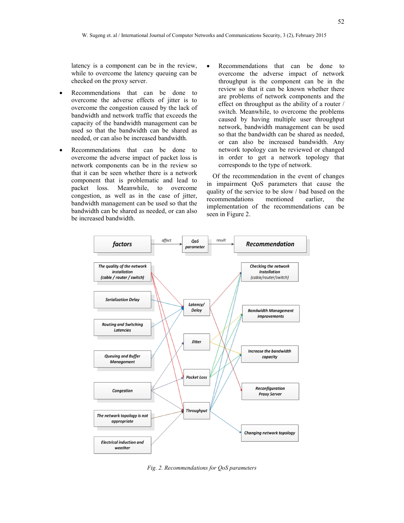latency is a component can be in the review, while to overcome the latency queuing can be checked on the proxy server.

- Recommendations that can be done to overcome the adverse effects of jitter is to overcome the congestion caused by the lack of bandwidth and network traffic that exceeds the capacity of the bandwidth management can be used so that the bandwidth can be shared as needed, or can also be increased bandwidth.
- Recommendations that can be done to overcome the adverse impact of packet loss is network components can be in the review so that it can be seen whether there is a network component that is problematic and lead to packet loss. Meanwhile, to overcome congestion, as well as in the case of jitter, bandwidth management can be used so that the bandwidth can be shared as needed, or can also be increased bandwidth.
- Recommendations that can be done to overcome the adverse impact of network throughput is the component can be in the review so that it can be known whether there are problems of network components and the effect on throughput as the ability of a router / switch. Meanwhile, to overcome the problems caused by having multiple user throughput network, bandwidth management can be used so that the bandwidth can be shared as needed, or can also be increased bandwidth. Any network topology can be reviewed or changed in order to get a network topology that corresponds to the type of network.

Of the recommendation in the event of changes in impairment QoS parameters that cause the quality of the service to be slow / bad based on the recommendations mentioned earlier, the implementation of the recommendations can be seen in Figure 2.



*Fig. 2. Recommendations for QoS parameters*